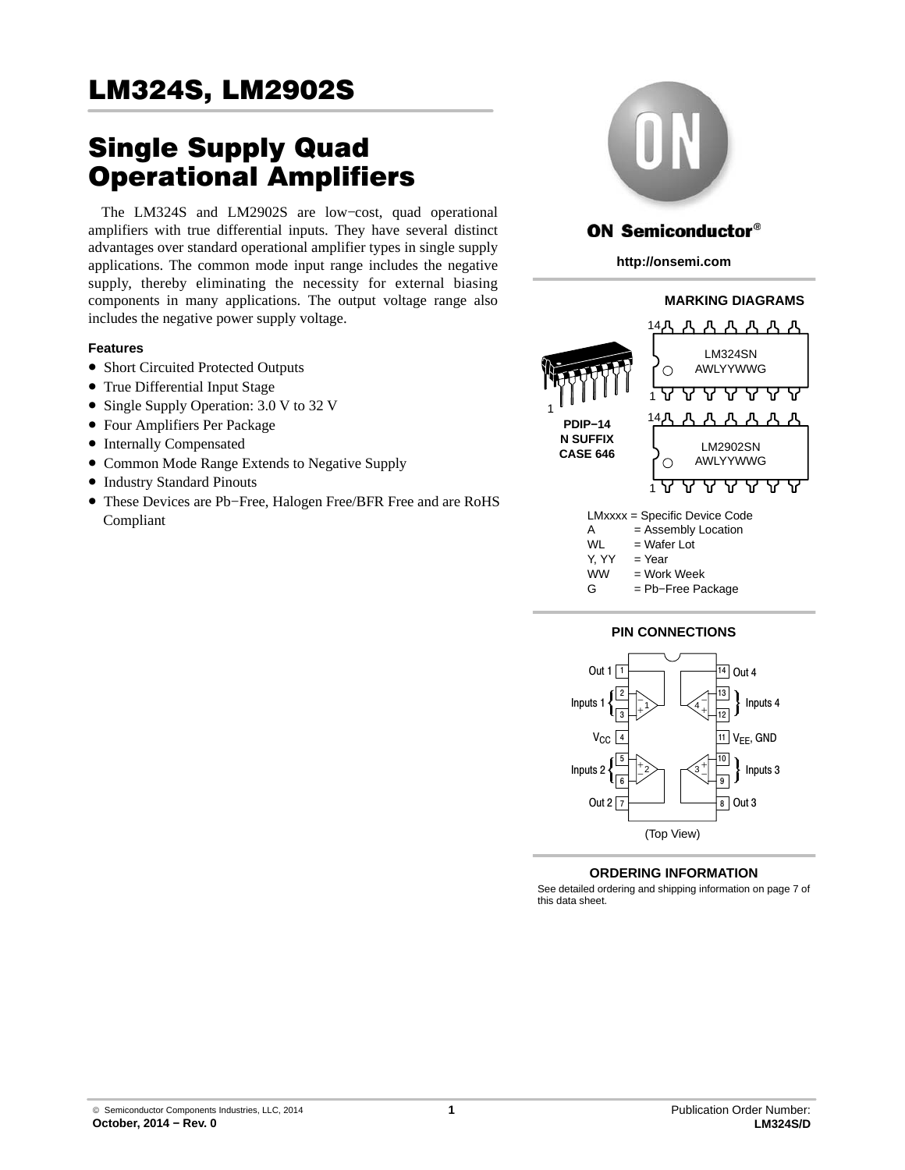# Single Supply Quad Operational Amplifiers

The LM324S and LM2902S are low−cost, quad operational amplifiers with true differential inputs. They have several distinct advantages over standard operational amplifier types in single supply applications. The common mode input range includes the negative supply, thereby eliminating the necessity for external biasing components in many applications. The output voltage range also includes the negative power supply voltage.

## **Features**

- Short Circuited Protected Outputs
- True Differential Input Stage
- Single Supply Operation: 3.0 V to 32 V
- Four Amplifiers Per Package
- Internally Compensated
- Common Mode Range Extends to Negative Supply
- Industry Standard Pinouts
- These Devices are Pb−Free, Halogen Free/BFR Free and are RoHS Compliant



## **ON Semiconductor®**

**http://onsemi.com**



#### **PIN CONNECTIONS**



## **ORDERING INFORMATION**

See detailed ordering and shipping information on page [7](#page-6-0) of this data sheet.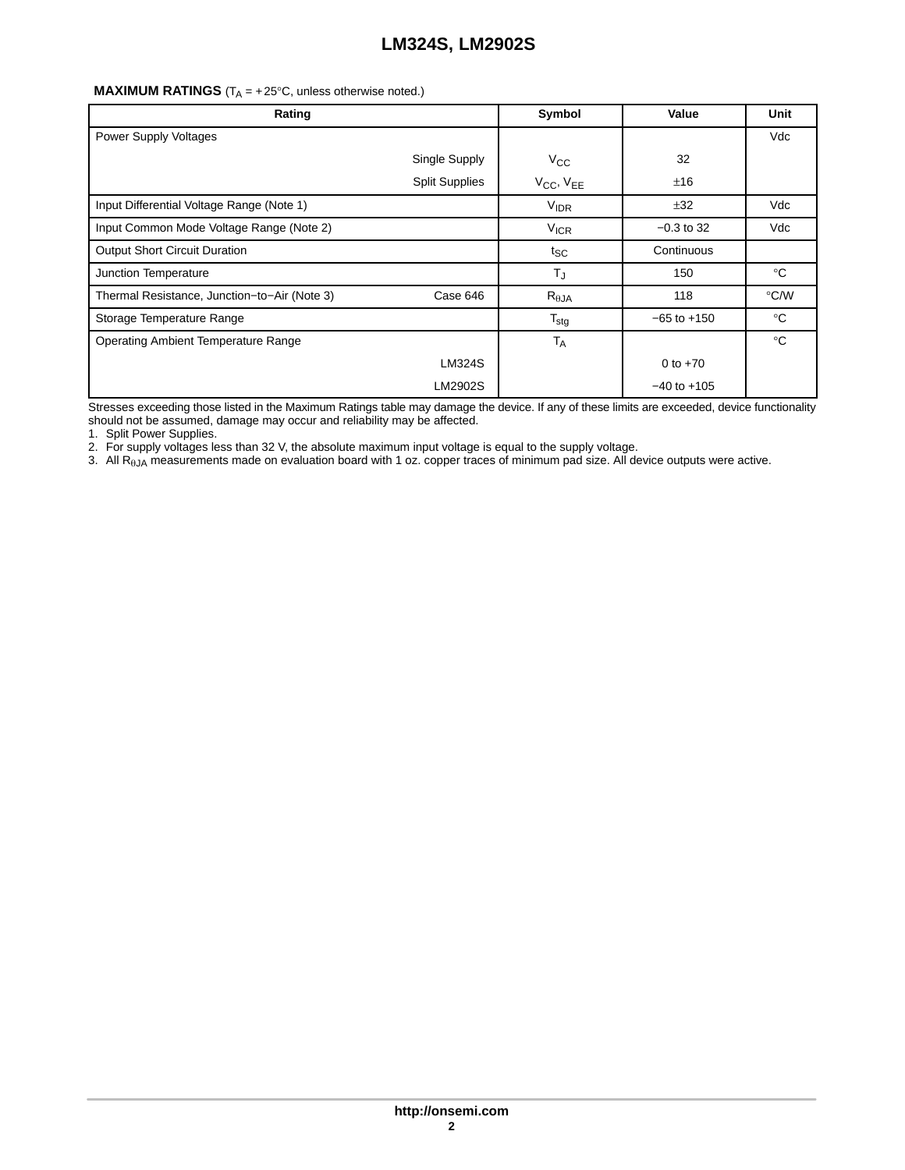## **MAXIMUM RATINGS**  $(T_A = +25^\circ \text{C},$  unless otherwise noted.)

| Rating                                       |                       | Symbol                            | Value           | Unit        |
|----------------------------------------------|-----------------------|-----------------------------------|-----------------|-------------|
| <b>Power Supply Voltages</b>                 |                       |                                   |                 | Vdc         |
|                                              | Single Supply         | $V_{\rm CC}$                      | 32              |             |
|                                              | <b>Split Supplies</b> | V <sub>CC</sub> , V <sub>EE</sub> | ±16             |             |
| Input Differential Voltage Range (Note 1)    |                       | <b>VIDR</b>                       | ±32             | Vdc         |
| Input Common Mode Voltage Range (Note 2)     |                       | $V_{ICR}$                         | $-0.3$ to 32    | Vdc         |
| <b>Output Short Circuit Duration</b>         |                       | $t_{SC}$                          | Continuous      |             |
| Junction Temperature                         |                       | $T_{J}$                           | 150             | $^{\circ}C$ |
| Thermal Resistance, Junction-to-Air (Note 3) | Case 646              | $R_{\theta$ JA                    | 118             | °C∕W        |
| Storage Temperature Range                    |                       | $T_{\text{stg}}$                  | $-65$ to $+150$ | $^{\circ}C$ |
| <b>Operating Ambient Temperature Range</b>   |                       | <b>TA</b>                         |                 | $^{\circ}C$ |
|                                              | LM324S                |                                   | 0 to $+70$      |             |
|                                              | LM2902S               |                                   | $-40$ to $+105$ |             |

Stresses exceeding those listed in the Maximum Ratings table may damage the device. If any of these limits are exceeded, device functionality should not be assumed, damage may occur and reliability may be affected.

1. Split Power Supplies.

2. For supply voltages less than 32 V, the absolute maximum input voltage is equal to the supply voltage.

3. All R<sub>6JA</sub> measurements made on evaluation board with 1 oz. copper traces of minimum pad size. All device outputs were active.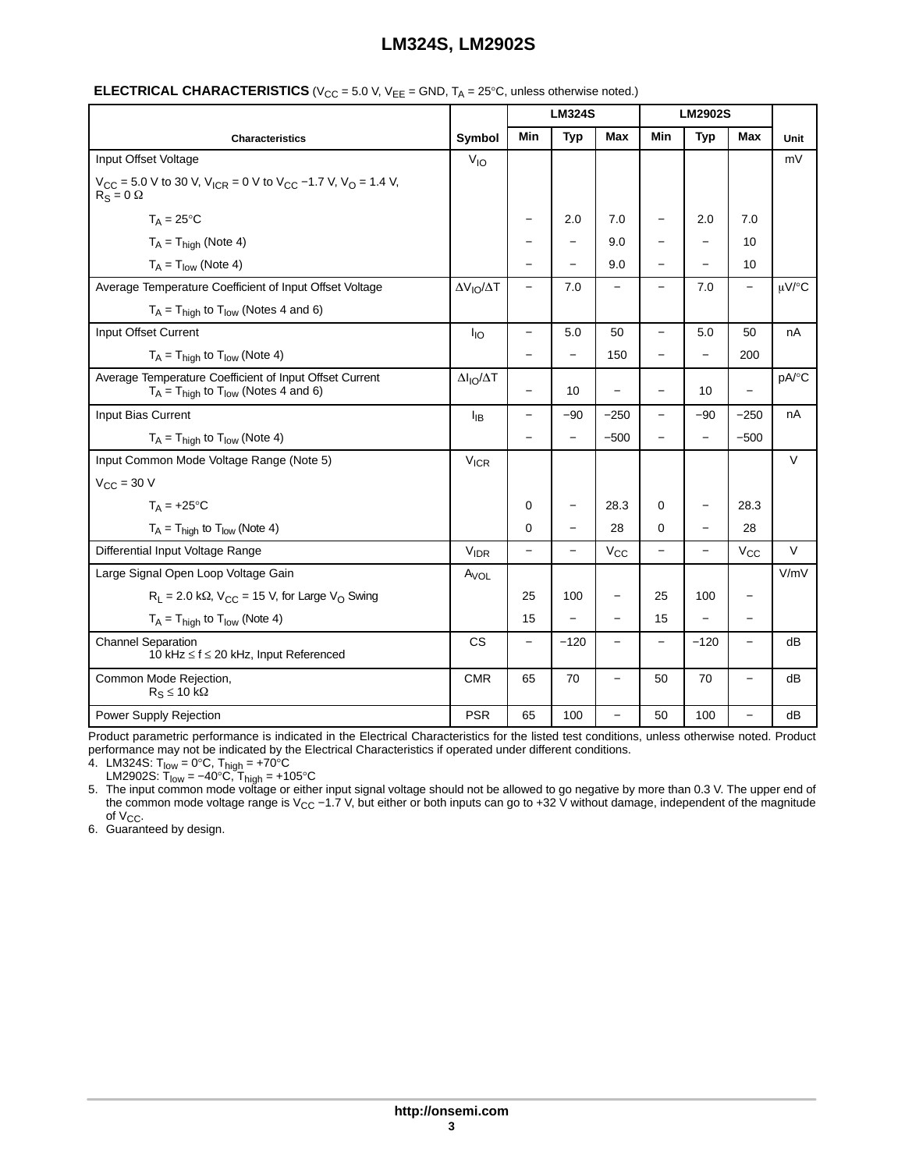|                                                                                                          |                                 | <b>LM324S</b>            |                          | <b>LM2902S</b>           |                          |                          |                          |             |
|----------------------------------------------------------------------------------------------------------|---------------------------------|--------------------------|--------------------------|--------------------------|--------------------------|--------------------------|--------------------------|-------------|
| <b>Characteristics</b>                                                                                   | Symbol                          | Min                      | <b>Typ</b>               | Max                      | Min                      | <b>Typ</b>               | <b>Max</b>               | <b>Unit</b> |
| Input Offset Voltage                                                                                     | $V_{IO}$                        |                          |                          |                          |                          |                          |                          | mV          |
| $V_{CC}$ = 5.0 V to 30 V, $V_{ICR}$ = 0 V to $V_{CC}$ -1.7 V, $V_{O}$ = 1.4 V,<br>$R_S = 0$ $\Omega$     |                                 |                          |                          |                          |                          |                          |                          |             |
| $T_A = 25^{\circ}C$                                                                                      |                                 | $\overline{\phantom{0}}$ | 2.0                      | 7.0                      |                          | 2.0                      | 7.0                      |             |
| $T_A = T_{high}$ (Note 4)                                                                                |                                 |                          |                          | 9.0                      |                          |                          | 10                       |             |
| $T_A = T_{low}$ (Note 4)                                                                                 |                                 |                          |                          | 9.0                      |                          |                          | 10                       |             |
| Average Temperature Coefficient of Input Offset Voltage                                                  | $\Delta V_{IO}/\Delta T$        | $\equiv$                 | 7.0                      | $\qquad \qquad -$        | -                        | 7.0                      | $\overline{\phantom{0}}$ | µV/°C       |
| $T_A = T_{high}$ to $T_{low}$ (Notes 4 and 6)                                                            |                                 |                          |                          |                          |                          |                          |                          |             |
| Input Offset Current                                                                                     | $I_{IO}$                        | $\overline{\phantom{0}}$ | 5.0                      | 50                       | $\equiv$                 | 5.0                      | 50                       | nA          |
| $T_A = T_{\text{high}}$ to $T_{\text{low}}$ (Note 4)                                                     |                                 |                          | -                        | 150                      | $\qquad \qquad -$        | $\equiv$                 | 200                      |             |
| Average Temperature Coefficient of Input Offset Current<br>$T_A = T_{high}$ to $T_{low}$ (Notes 4 and 6) | $\Delta I_{\text{IO}}/\Delta T$ |                          | 10                       |                          |                          | 10                       | $\overline{\phantom{0}}$ | pA/°C       |
| Input Bias Current                                                                                       | ŀв                              | −                        | $-90$                    | $-250$                   | -                        | $-90$                    | $-250$                   | nA          |
| $T_A = T_{\text{hidh}}$ to $T_{\text{low}}$ (Note 4)                                                     |                                 |                          | $\equiv$                 | $-500$                   |                          | $\overline{\phantom{0}}$ | $-500$                   |             |
| Input Common Mode Voltage Range (Note 5)                                                                 | $V_{ICR}$                       |                          |                          |                          |                          |                          |                          | $\vee$      |
| $V_{\text{CC}}$ = 30 V                                                                                   |                                 |                          |                          |                          |                          |                          |                          |             |
| $T_A = +25$ °C                                                                                           |                                 | 0                        | $\overline{\phantom{m}}$ | 28.3                     | 0                        | $\overline{\phantom{0}}$ | 28.3                     |             |
| $T_A = T_{\text{high}}$ to $T_{\text{low}}$ (Note 4)                                                     |                                 | 0                        |                          | 28                       | 0                        |                          | 28                       |             |
| Differential Input Voltage Range                                                                         | $V_{IDR}$                       | $\overline{a}$           |                          | $V_{\rm CC}$             |                          |                          | $V_{CC}$                 | $\vee$      |
| Large Signal Open Loop Voltage Gain                                                                      | $A_{VOL}$                       |                          |                          |                          |                          |                          |                          | V/mV        |
| $R_L$ = 2.0 k $\Omega$ , $V_{CC}$ = 15 V, for Large V <sub>O</sub> Swing                                 |                                 | 25                       | 100                      | $\qquad \qquad -$        | 25                       | 100                      |                          |             |
| $T_A = T_{\text{high}}$ to $T_{\text{low}}$ (Note 4)                                                     |                                 | 15                       |                          | $\overline{\phantom{0}}$ | 15                       |                          | $\overline{\phantom{0}}$ |             |
| <b>Channel Separation</b><br>10 kHz ≤ f ≤ 20 kHz, Input Referenced                                       | <b>CS</b>                       | $\overline{\phantom{0}}$ | $-120$                   | $\qquad \qquad -$        | $\overline{\phantom{0}}$ | $-120$                   | $\overline{\phantom{0}}$ | dB          |
| Common Mode Rejection,<br>$R_S \le 10 k\Omega$                                                           | <b>CMR</b>                      | 65                       | 70                       | $\overline{\phantom{0}}$ | 50                       | 70                       | $\overline{\phantom{0}}$ | dB          |
| Power Supply Rejection                                                                                   | <b>PSR</b>                      | 65                       | 100                      |                          | 50                       | 100                      |                          | dB          |

#### **ELECTRICAL CHARACTERISTICS** ( $V_{CC}$  = 5.0 V,  $V_{EE}$  = GND,  $T_A$  = 25°C, unless otherwise noted.)

Product parametric performance is indicated in the Electrical Characteristics for the listed test conditions, unless otherwise noted. Product performance may not be indicated by the Electrical Characteristics if operated under different conditions.

4. LM324S: T<sub>low</sub> = 0°C, T<sub>high</sub> = +70°C

LM2902S: T<sub>low</sub> = –40°C, T<sub>high</sub> = +105°C<br>5. The input common mode voltage or either input signal voltage should not be allowed to go negative by more than 0.3 V. The upper end of the common mode voltage range is V<sub>CC</sub> −1.7 V, but either or both inputs can go to +32 V without damage, independent of the magnitude of V<sub>CC</sub>.<br>6. Guaranteed by design.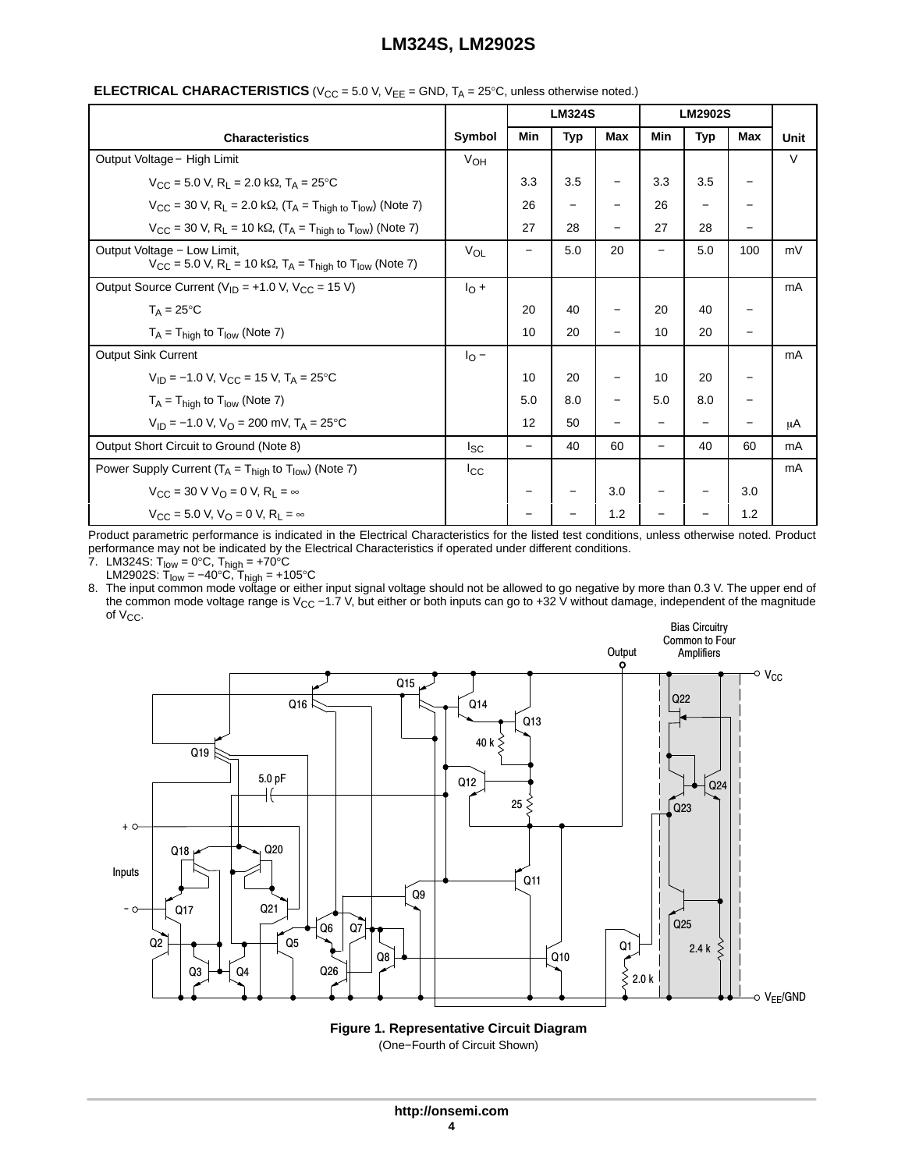|                                                                                                                                                   |                       | <b>LM324S</b><br><b>LM2902S</b> |            |     |                          |                   |     |        |
|---------------------------------------------------------------------------------------------------------------------------------------------------|-----------------------|---------------------------------|------------|-----|--------------------------|-------------------|-----|--------|
| <b>Characteristics</b>                                                                                                                            | Symbol                | <b>Min</b>                      | <b>Typ</b> | Max | Min                      | <b>Typ</b>        | Max | Unit   |
| Output Voltage - High Limit                                                                                                                       | $V_{OH}$              |                                 |            |     |                          |                   |     | $\vee$ |
| $V_{\text{CC}} = 5.0 \text{ V}, R_1 = 2.0 \text{ k}\Omega, T_A = 25^{\circ}\text{C}$                                                              |                       | 3.3                             | 3.5        | -   | 3.3                      | 3.5               |     |        |
| $V_{CC}$ = 30 V, R <sub>L</sub> = 2.0 k $\Omega$ , (T <sub>A</sub> = T <sub>high to</sub> T <sub>low</sub> ) (Note 7)                             |                       | 26                              |            | -   | 26                       |                   |     |        |
| $V_{CC}$ = 30 V, R <sub>L</sub> = 10 k $\Omega$ , (T <sub>A</sub> = T <sub>high to</sub> T <sub>low</sub> ) (Note 7)                              |                       | 27                              | 28         | —   | 27                       | 28                |     |        |
| Output Voltage - Low Limit,<br>$V_{CC}$ = 5.0 V, R <sub>L</sub> = 10 k $\Omega$ , T <sub>A</sub> = T <sub>high</sub> to T <sub>low</sub> (Note 7) | <b>V<sub>OL</sub></b> |                                 | 5.0        | 20  |                          | 5.0               | 100 | mV     |
| Output Source Current ( $V_{ID}$ = +1.0 V, $V_{CC}$ = 15 V)                                                                                       |                       |                                 |            |     |                          |                   |     | mA     |
| $T_A = 25$ °C                                                                                                                                     |                       | 20                              | 40         |     | 20                       | 40                |     |        |
| $T_A = T_{high}$ to $T_{low}$ (Note 7)                                                                                                            |                       | 10                              | 20         |     | 10                       | 20                |     |        |
| Output Sink Current                                                                                                                               | $I_{\rm O}$ –         |                                 |            |     |                          |                   |     | mA     |
| $V_{1D} = -1.0$ V, $V_{C} = 15$ V, $T_A = 25$ °C                                                                                                  |                       | 10                              | 20         | —   | 10                       | 20                |     |        |
| $T_A = T_{high}$ to $T_{low}$ (Note 7)                                                                                                            |                       | 5.0                             | 8.0        | -   | 5.0                      | 8.0               |     |        |
| $V_{1D}$ = -1.0 V, V <sub>O</sub> = 200 mV, T <sub>A</sub> = 25 <sup>o</sup> C                                                                    |                       | 12                              | 50         | —   |                          | $\qquad \qquad -$ |     | μA     |
| Output Short Circuit to Ground (Note 8)                                                                                                           |                       | $\overline{\phantom{0}}$        | 40         | 60  | $\overline{\phantom{0}}$ | 40                | 60  | mA     |
| Power Supply Current ( $T_A = T_{high}$ to $T_{low}$ ) (Note 7)                                                                                   | $_{\rm lcc}$          |                                 |            |     |                          |                   |     | mA     |
| $V_{\rm CC}$ = 30 V V <sub>O</sub> = 0 V, R <sub>1</sub> = $\infty$                                                                               |                       | -                               |            | 3.0 | $\qquad \qquad$          |                   | 3.0 |        |
| $V_{\rm CC}$ = 5.0 V, $V_{\rm O}$ = 0 V, R <sub>1</sub> = $\infty$                                                                                |                       |                                 |            | 1.2 |                          |                   | 1.2 |        |

## **ELECTRICAL CHARACTERISTICS** ( $V_{CC}$  = 5.0 V,  $V_{FF}$  = GND,  $T_A$  = 25°C, unless otherwise noted.)

Product parametric performance is indicated in the Electrical Characteristics for the listed test conditions, unless otherwise noted. Product performance may not be indicated by the Electrical Characteristics if operated under different conditions.

7. LM324S: T<sub>low</sub> = 0°C, T<sub>high</sub> = +70°C

LM2902S: T<sub>low</sub> = –40°C, T<sub>high</sub> = +105°C<br>8. The input common mode voltage or either input signal voltage should not be allowed to go negative by more than 0.3 V. The upper end of the common mode voltage range is V<sub>CC</sub> −1.7 V, but either or both inputs can go to +32 V without damage, independent of the magnitude of V<sub>CC</sub>.



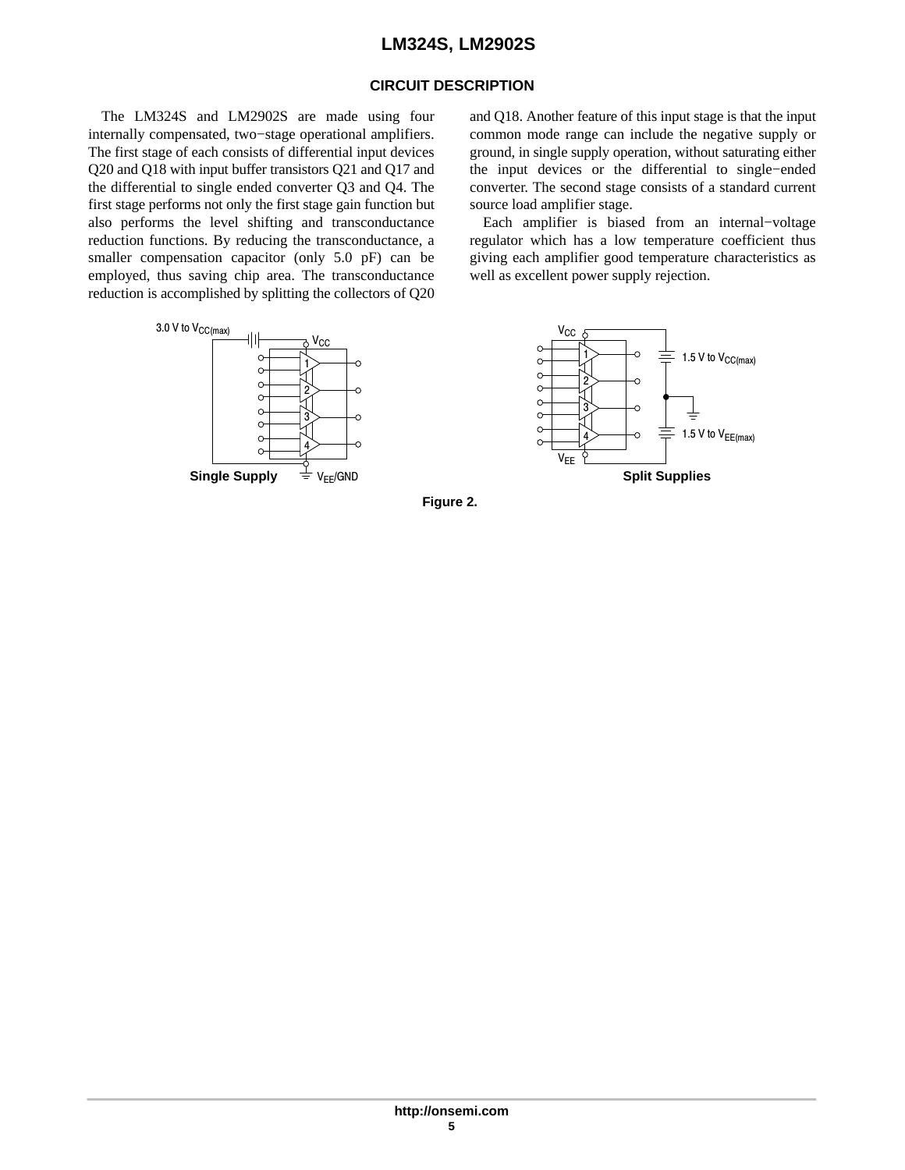## **CIRCUIT DESCRIPTION**

The LM324S and LM2902S are made using four internally compensated, two−stage operational amplifiers. The first stage of each consists of differential input devices Q20 and Q18 with input buffer transistors Q21 and Q17 and the differential to single ended converter Q3 and Q4. The first stage performs not only the first stage gain function but also performs the level shifting and transconductance reduction functions. By reducing the transconductance, a smaller compensation capacitor (only 5.0 pF) can be employed, thus saving chip area. The transconductance reduction is accomplished by splitting the collectors of Q20 and Q18. Another feature of this input stage is that the input common mode range can include the negative supply or ground, in single supply operation, without saturating either the input devices or the differential to single−ended converter. The second stage consists of a standard current source load amplifier stage.

Each amplifier is biased from an internal−voltage regulator which has a low temperature coefficient thus giving each amplifier good temperature characteristics as well as excellent power supply rejection.





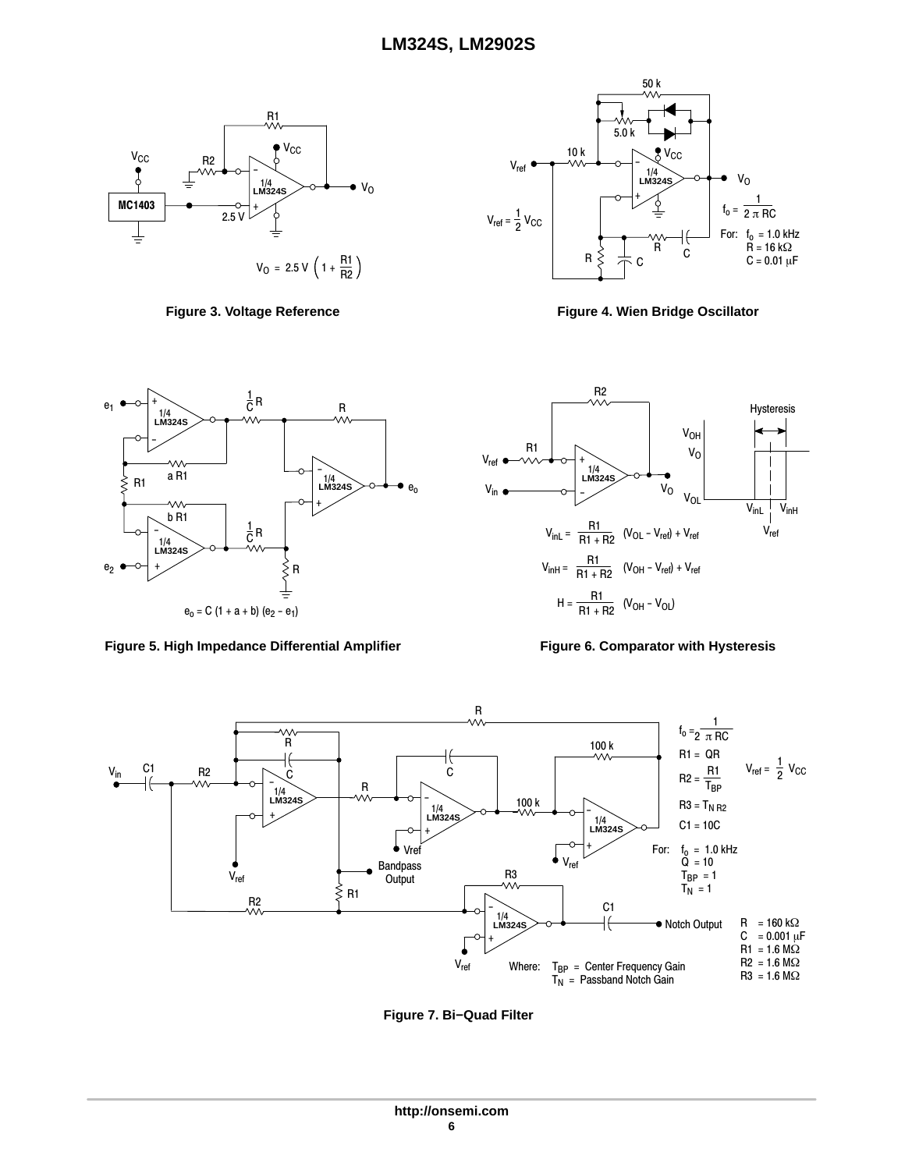



**Figure 3. Voltage Reference Figure 4. Wien Bridge Oscillator**



Figure 5. High Impedance Differential Amplifier Figure 6. Comparator with Hysteresis





**Figure 7. Bi−Quad Filter**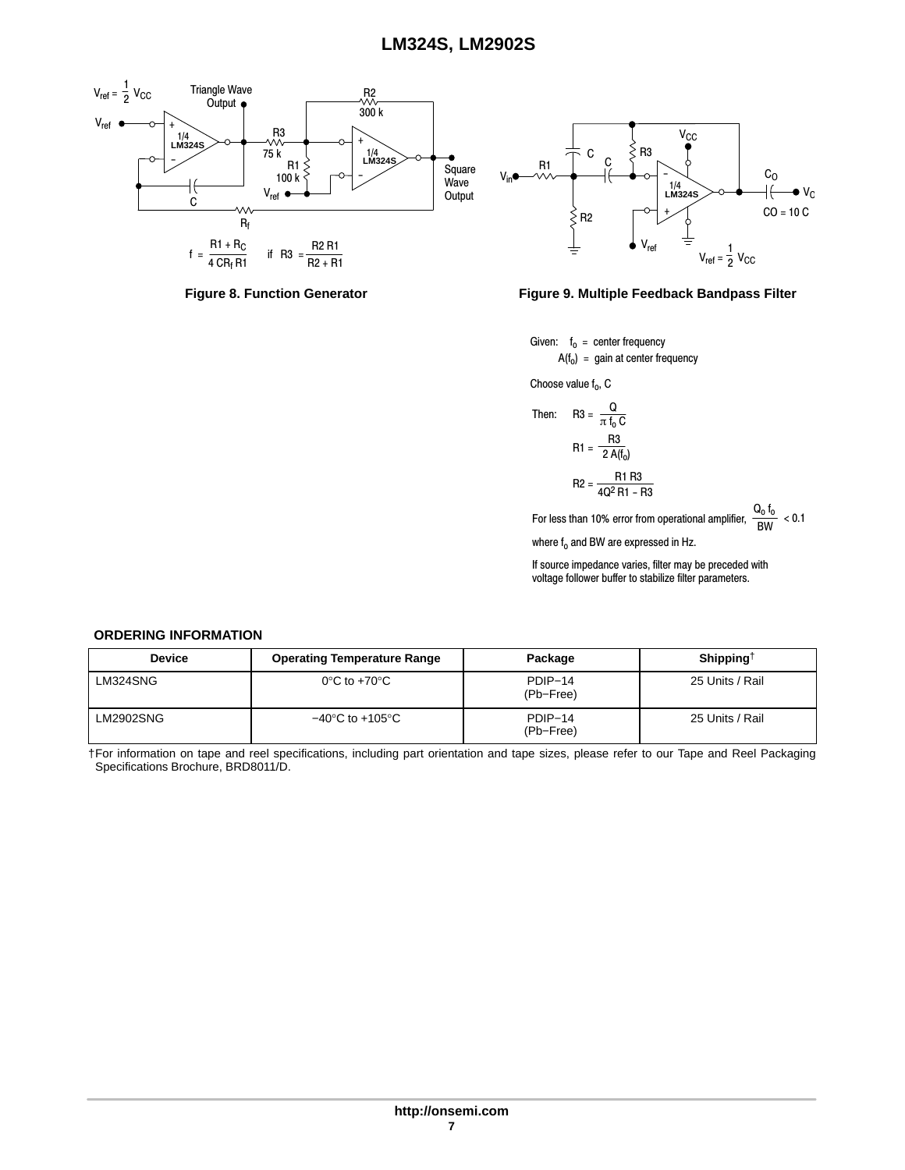<span id="page-6-0"></span>





Given: f<sub>o</sub> = center frequency  $A(f_0) = gain$  at center frequency

Choose value  $f_0$ , C

Then: R3 = 
$$
\frac{Q}{\pi f_0 C}
$$
  
R1 =  $\frac{R3}{2 A(f_0)}$   
R2 =  $\frac{R1 R3}{4Q^2 R1 - R3}$ 

For less than 10% error from operational amplifier,  $\frac{\mathsf{Q_0}\mathsf{f_0}}{\mathsf{BW}}$  < 0.1

where  $f_0$  and BW are expressed in Hz.

If source impedance varies, filter may be preceded with voltage follower buffer to stabilize filter parameters.

#### **ORDERING INFORMATION**

| <b>Device</b>    | <b>Operating Temperature Range</b>  | Package              | Shipping <sup><math>\dagger</math></sup> |
|------------------|-------------------------------------|----------------------|------------------------------------------|
| LM324SNG         | $0^{\circ}$ C to +70 $^{\circ}$ C   | PDIP-14<br>(Pb-Free) | 25 Units / Rail                          |
| <b>LM2902SNG</b> | $-40^{\circ}$ C to $+105^{\circ}$ C | PDIP-14<br>(Pb-Free) | 25 Units / Rail                          |

†For information on tape and reel specifications, including part orientation and tape sizes, please refer to our Tape and Reel Packaging Specifications Brochure, BRD8011/D.